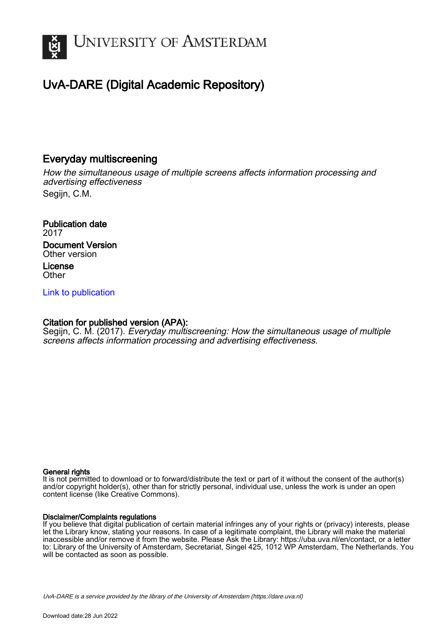

# UvA-DARE (Digital Academic Repository)

# Everyday multiscreening

How the simultaneous usage of multiple screens affects information processing and advertising effectiveness Segiin, C.M.

Publication date 2017 Document Version Other version License **Other** 

[Link to publication](https://dare.uva.nl/personal/pure/en/publications/everyday-multiscreening(4ac81ec3-ab86-470f-9fe8-3b3a9a920dfa).html)

# Citation for published version (APA):

Segijn, C. M. (2017). Everyday multiscreening: How the simultaneous usage of multiple screens affects information processing and advertising effectiveness.

## General rights

It is not permitted to download or to forward/distribute the text or part of it without the consent of the author(s) and/or copyright holder(s), other than for strictly personal, individual use, unless the work is under an open content license (like Creative Commons).

## Disclaimer/Complaints regulations

If you believe that digital publication of certain material infringes any of your rights or (privacy) interests, please let the Library know, stating your reasons. In case of a legitimate complaint, the Library will make the material inaccessible and/or remove it from the website. Please Ask the Library: https://uba.uva.nl/en/contact, or a letter to: Library of the University of Amsterdam, Secretariat, Singel 425, 1012 WP Amsterdam, The Netherlands. You will be contacted as soon as possible.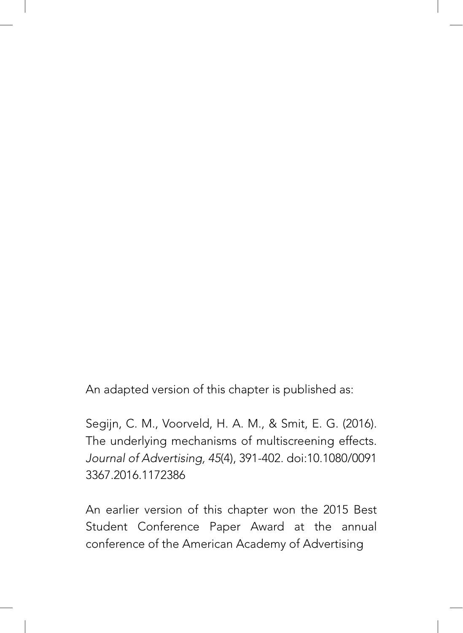An adapted version of this chapter is published as:

Segijn, C. M., Voorveld, H. A. M., & Smit, E. G. (2016). The underlying mechanisms of multiscreening effects. *Journal of Advertising, 45*(4), 391-402. doi:10.1080/0091 3367.2016.1172386

An earlier version of this chapter won the 2015 Best Student Conference Paper Award at the annual conference of the American Academy of Advertising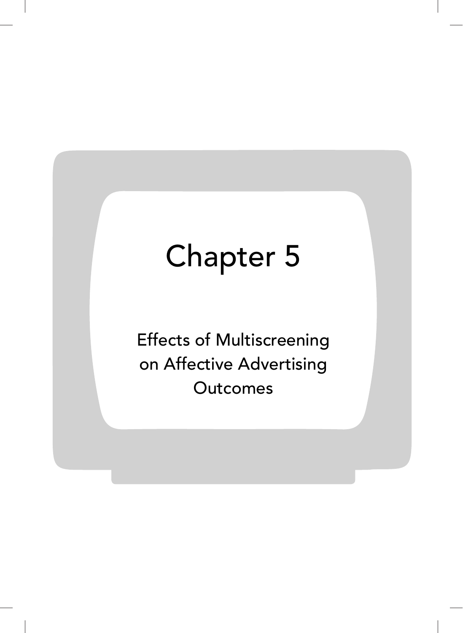# Chapter 5

Effects of Multiscreening on Affective Advertising **Outcomes**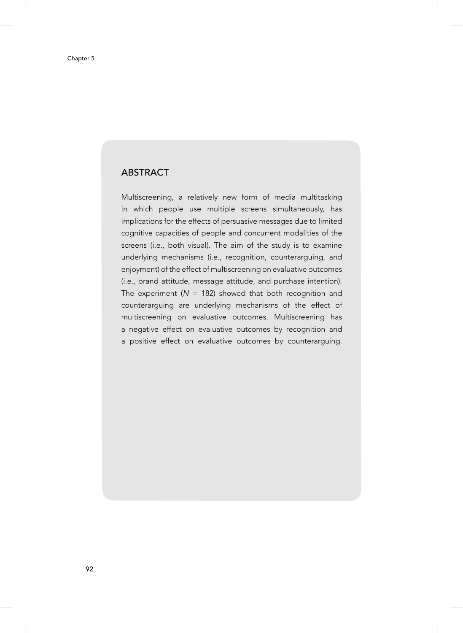# **ABSTRACT**

Multiscreening, a relatively new form of media multitasking in which people use multiple screens simultaneously, has implications for the effects of persuasive messages due to limited cognitive capacities of people and concurrent modalities of the screens (i.e., both visual). The aim of the study is to examine underlying mechanisms (i.e., recognition, counterarguing, and enjoyment) of the effect of multiscreening on evaluative outcomes (i.e., brand attitude, message attitude, and purchase intention). The experiment  $(N = 182)$  showed that both recognition and counterarguing are underlying mechanisms of the effect of multiscreening on evaluative outcomes. Multiscreening has a negative effect on evaluative outcomes by recognition and a positive effect on evaluative outcomes by counterarguing.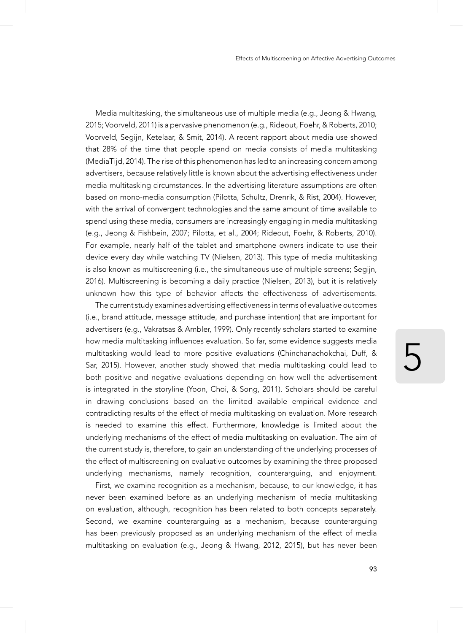Media multitasking, the simultaneous use of multiple media (e.g., Jeong & Hwang, 2015; Voorveld, 2011) is a pervasive phenomenon (e.g., Rideout, Foehr, & Roberts, 2010; Voorveld, Segijn, Ketelaar, & Smit, 2014). A recent rapport about media use showed that 28% of the time that people spend on media consists of media multitasking (MediaTijd, 2014). The rise of this phenomenon has led to an increasing concern among advertisers, because relatively little is known about the advertising effectiveness under media multitasking circumstances. In the advertising literature assumptions are often based on mono-media consumption (Pilotta, Schultz, Drenrik, & Rist, 2004). However, with the arrival of convergent technologies and the same amount of time available to spend using these media, consumers are increasingly engaging in media multitasking (e.g., Jeong & Fishbein, 2007; Pilotta, et al., 2004; Rideout, Foehr, & Roberts, 2010). For example, nearly half of the tablet and smartphone owners indicate to use their device every day while watching TV (Nielsen, 2013). This type of media multitasking is also known as multiscreening (i.e., the simultaneous use of multiple screens; Segijn, 2016). Multiscreening is becoming a daily practice (Nielsen, 2013), but it is relatively unknown how this type of behavior affects the effectiveness of advertisements.

The current study examines advertising effectiveness in terms of evaluative outcomes (i.e., brand attitude, message attitude, and purchase intention) that are important for advertisers (e.g., Vakratsas & Ambler, 1999). Only recently scholars started to examine how media multitasking influences evaluation. So far, some evidence suggests media multitasking would lead to more positive evaluations (Chinchanachokchai, Duff, & Sar, 2015). However, another study showed that media multitasking could lead to both positive and negative evaluations depending on how well the advertisement is integrated in the storyline (Yoon, Choi, & Song, 2011). Scholars should be careful in drawing conclusions based on the limited available empirical evidence and contradicting results of the effect of media multitasking on evaluation. More research is needed to examine this effect. Furthermore, knowledge is limited about the underlying mechanisms of the effect of media multitasking on evaluation. The aim of the current study is, therefore, to gain an understanding of the underlying processes of the effect of multiscreening on evaluative outcomes by examining the three proposed underlying mechanisms, namely recognition, counterarguing, and enjoyment.

First, we examine recognition as a mechanism, because, to our knowledge, it has never been examined before as an underlying mechanism of media multitasking on evaluation, although, recognition has been related to both concepts separately. Second, we examine counterarguing as a mechanism, because counterarguing has been previously proposed as an underlying mechanism of the effect of media multitasking on evaluation (e.g., Jeong & Hwang, 2012, 2015), but has never been

5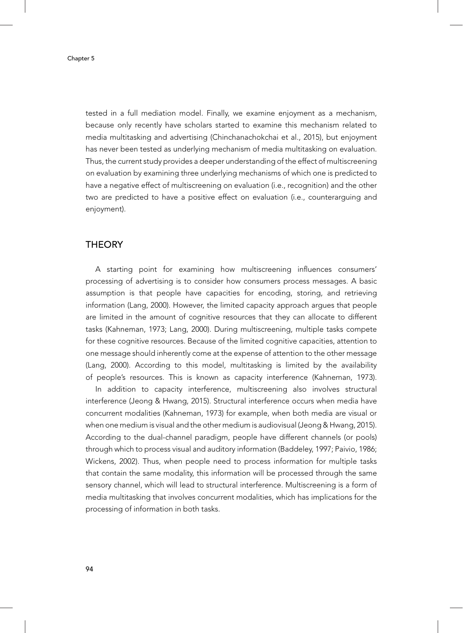tested in a full mediation model. Finally, we examine enjoyment as a mechanism, because only recently have scholars started to examine this mechanism related to media multitasking and advertising (Chinchanachokchai et al., 2015), but enjoyment has never been tested as underlying mechanism of media multitasking on evaluation. Thus, the current study provides a deeper understanding of the effect of multiscreening on evaluation by examining three underlying mechanisms of which one is predicted to have a negative effect of multiscreening on evaluation (i.e., recognition) and the other two are predicted to have a positive effect on evaluation (i.e., counterarguing and enjoyment).

#### **THEORY**

A starting point for examining how multiscreening influences consumers' processing of advertising is to consider how consumers process messages. A basic assumption is that people have capacities for encoding, storing, and retrieving information (Lang, 2000). However, the limited capacity approach argues that people are limited in the amount of cognitive resources that they can allocate to different tasks (Kahneman, 1973; Lang, 2000). During multiscreening, multiple tasks compete for these cognitive resources. Because of the limited cognitive capacities, attention to one message should inherently come at the expense of attention to the other message (Lang, 2000). According to this model, multitasking is limited by the availability of people's resources. This is known as capacity interference (Kahneman, 1973).

In addition to capacity interference, multiscreening also involves structural interference (Jeong & Hwang, 2015). Structural interference occurs when media have concurrent modalities (Kahneman, 1973) for example, when both media are visual or when one medium is visual and the other medium is audiovisual (Jeong & Hwang, 2015). According to the dual-channel paradigm, people have different channels (or pools) through which to process visual and auditory information (Baddeley, 1997; Paivio, 1986; Wickens, 2002). Thus, when people need to process information for multiple tasks that contain the same modality, this information will be processed through the same sensory channel, which will lead to structural interference. Multiscreening is a form of media multitasking that involves concurrent modalities, which has implications for the processing of information in both tasks.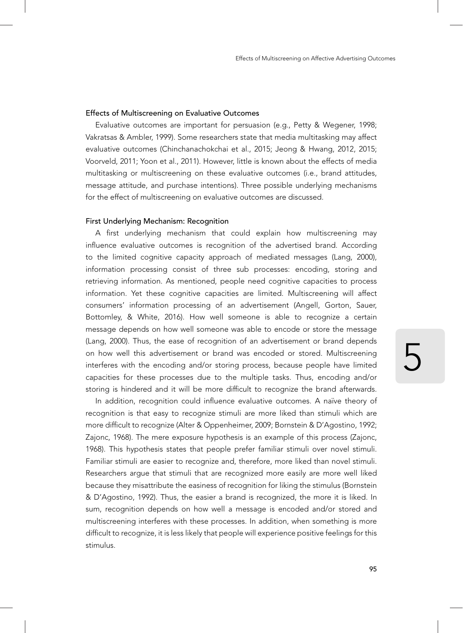#### Effects of Multiscreening on Evaluative Outcomes

Evaluative outcomes are important for persuasion (e.g., Petty & Wegener, 1998; Vakratsas & Ambler, 1999). Some researchers state that media multitasking may affect evaluative outcomes (Chinchanachokchai et al., 2015; Jeong & Hwang, 2012, 2015; Voorveld, 2011; Yoon et al., 2011). However, little is known about the effects of media multitasking or multiscreening on these evaluative outcomes (i.e., brand attitudes, message attitude, and purchase intentions). Three possible underlying mechanisms for the effect of multiscreening on evaluative outcomes are discussed.

#### First Underlying Mechanism: Recognition

A first underlying mechanism that could explain how multiscreening may influence evaluative outcomes is recognition of the advertised brand. According to the limited cognitive capacity approach of mediated messages (Lang, 2000), information processing consist of three sub processes: encoding, storing and retrieving information. As mentioned, people need cognitive capacities to process information. Yet these cognitive capacities are limited. Multiscreening will affect consumers' information processing of an advertisement (Angell, Gorton, Sauer, Bottomley, & White, 2016). How well someone is able to recognize a certain message depends on how well someone was able to encode or store the message (Lang, 2000). Thus, the ease of recognition of an advertisement or brand depends on how well this advertisement or brand was encoded or stored. Multiscreening interferes with the encoding and/or storing process, because people have limited capacities for these processes due to the multiple tasks. Thus, encoding and/or storing is hindered and it will be more difficult to recognize the brand afterwards.

In addition, recognition could influence evaluative outcomes. A naïve theory of recognition is that easy to recognize stimuli are more liked than stimuli which are more difficult to recognize (Alter & Oppenheimer, 2009; Bornstein & D'Agostino, 1992; Zajonc, 1968). The mere exposure hypothesis is an example of this process (Zajonc, 1968). This hypothesis states that people prefer familiar stimuli over novel stimuli. Familiar stimuli are easier to recognize and, therefore, more liked than novel stimuli. Researchers argue that stimuli that are recognized more easily are more well liked because they misattribute the easiness of recognition for liking the stimulus (Bornstein & D'Agostino, 1992). Thus, the easier a brand is recognized, the more it is liked. In sum, recognition depends on how well a message is encoded and/or stored and multiscreening interferes with these processes. In addition, when something is more difficult to recognize, it is less likely that people will experience positive feelings for this stimulus.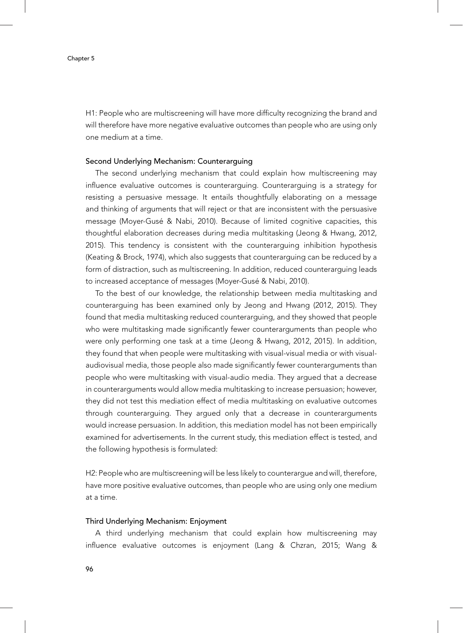H1: People who are multiscreening will have more difficulty recognizing the brand and will therefore have more negative evaluative outcomes than people who are using only one medium at a time.

#### Second Underlying Mechanism: Counterarguing

The second underlying mechanism that could explain how multiscreening may influence evaluative outcomes is counterarguing. Counterarguing is a strategy for resisting a persuasive message. It entails thoughtfully elaborating on a message and thinking of arguments that will reject or that are inconsistent with the persuasive message (Moyer-Gusé & Nabi, 2010). Because of limited cognitive capacities, this thoughtful elaboration decreases during media multitasking (Jeong & Hwang, 2012, 2015). This tendency is consistent with the counterarguing inhibition hypothesis (Keating & Brock, 1974), which also suggests that counterarguing can be reduced by a form of distraction, such as multiscreening. In addition, reduced counterarguing leads to increased acceptance of messages (Moyer-Gusé & Nabi, 2010).

To the best of our knowledge, the relationship between media multitasking and counterarguing has been examined only by Jeong and Hwang (2012, 2015). They found that media multitasking reduced counterarguing, and they showed that people who were multitasking made significantly fewer counterarguments than people who were only performing one task at a time (Jeong & Hwang, 2012, 2015). In addition, they found that when people were multitasking with visual-visual media or with visualaudiovisual media, those people also made significantly fewer counterarguments than people who were multitasking with visual-audio media. They argued that a decrease in counterarguments would allow media multitasking to increase persuasion; however, they did not test this mediation effect of media multitasking on evaluative outcomes through counterarguing. They argued only that a decrease in counterarguments would increase persuasion. In addition, this mediation model has not been empirically examined for advertisements. In the current study, this mediation effect is tested, and the following hypothesis is formulated:

H2: People who are multiscreening will be less likely to counterargue and will, therefore, have more positive evaluative outcomes, than people who are using only one medium at a time.

#### Third Underlying Mechanism: Enjoyment

A third underlying mechanism that could explain how multiscreening may influence evaluative outcomes is enjoyment (Lang & Chzran, 2015; Wang &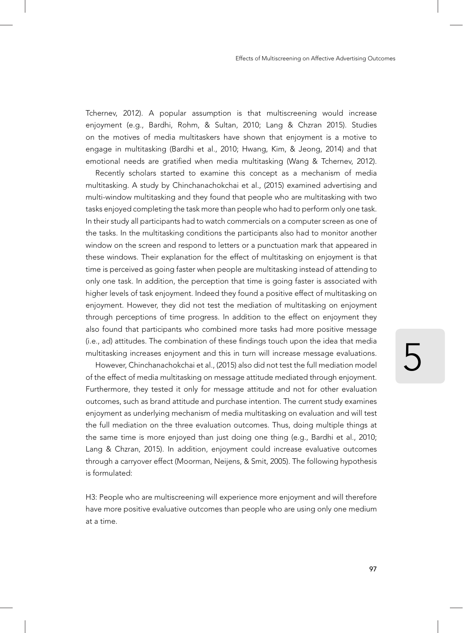Tchernev, 2012). A popular assumption is that multiscreening would increase enjoyment (e.g., Bardhi, Rohm, & Sultan, 2010; Lang & Chzran 2015). Studies on the motives of media multitaskers have shown that enjoyment is a motive to engage in multitasking (Bardhi et al., 2010; Hwang, Kim, & Jeong, 2014) and that emotional needs are gratified when media multitasking (Wang & Tchernev, 2012).

Recently scholars started to examine this concept as a mechanism of media multitasking. A study by Chinchanachokchai et al., (2015) examined advertising and multi-window multitasking and they found that people who are multitasking with two tasks enjoyed completing the task more than people who had to perform only one task. In their study all participants had to watch commercials on a computer screen as one of the tasks. In the multitasking conditions the participants also had to monitor another window on the screen and respond to letters or a punctuation mark that appeared in these windows. Their explanation for the effect of multitasking on enjoyment is that time is perceived as going faster when people are multitasking instead of attending to only one task. In addition, the perception that time is going faster is associated with higher levels of task enjoyment. Indeed they found a positive effect of multitasking on enjoyment. However, they did not test the mediation of multitasking on enjoyment through perceptions of time progress. In addition to the effect on enjoyment they also found that participants who combined more tasks had more positive message (i.e., ad) attitudes. The combination of these findings touch upon the idea that media multitasking increases enjoyment and this in turn will increase message evaluations.

However, Chinchanachokchai et al., (2015) also did not test the full mediation model of the effect of media multitasking on message attitude mediated through enjoyment. Furthermore, they tested it only for message attitude and not for other evaluation outcomes, such as brand attitude and purchase intention. The current study examines enjoyment as underlying mechanism of media multitasking on evaluation and will test the full mediation on the three evaluation outcomes. Thus, doing multiple things at the same time is more enjoyed than just doing one thing (e.g., Bardhi et al., 2010; Lang & Chzran, 2015). In addition, enjoyment could increase evaluative outcomes through a carryover effect (Moorman, Neijens, & Smit, 2005). The following hypothesis is formulated:

H3: People who are multiscreening will experience more enjoyment and will therefore have more positive evaluative outcomes than people who are using only one medium at a time.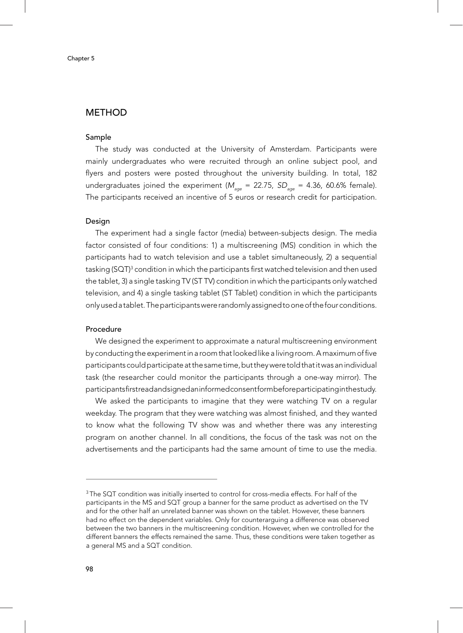#### **METHOD**

#### Sample

The study was conducted at the University of Amsterdam. Participants were mainly undergraduates who were recruited through an online subject pool, and flyers and posters were posted throughout the university building. In total, 182 undergraduates joined the experiment ( $M_{\text{app}}$  = 22.75, *SD<sub>age</sub>* = 4.36, 60.6% female). The participants received an incentive of 5 euros or research credit for participation.

#### Design

The experiment had a single factor (media) between-subjects design. The media factor consisted of four conditions: 1) a multiscreening (MS) condition in which the participants had to watch television and use a tablet simultaneously, 2) a sequential tasking (SQT) $^3$  condition in which the participants first watched television and then used the tablet, 3) a single tasking TV (ST TV) condition in which the participants only watched television, and 4) a single tasking tablet (ST Tablet) condition in which the participants only used a tablet. The participants were randomly assigned to one of the four conditions.

#### Procedure

We designed the experiment to approximate a natural multiscreening environment by conducting the experiment in a room that looked like a living room. A maximum of five participants could participate at the same time, but they were told that it was an individual task (the researcher could monitor the participants through a one-way mirror). The participants first read and signed an informed consent form before participating in the study.

We asked the participants to imagine that they were watching TV on a regular weekday. The program that they were watching was almost finished, and they wanted to know what the following TV show was and whether there was any interesting program on another channel. In all conditions, the focus of the task was not on the advertisements and the participants had the same amount of time to use the media.

<sup>&</sup>lt;sup>3</sup>The SQT condition was initially inserted to control for cross-media effects. For half of the participants in the MS and SQT group a banner for the same product as advertised on the TV and for the other half an unrelated banner was shown on the tablet. However, these banners had no effect on the dependent variables. Only for counterarguing a difference was observed between the two banners in the multiscreening condition. However, when we controlled for the different banners the effects remained the same. Thus, these conditions were taken together as a general MS and a SQT condition.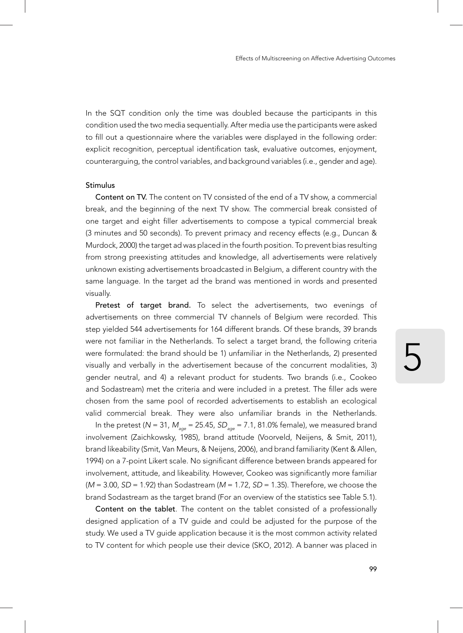In the SQT condition only the time was doubled because the participants in this condition used the two media sequentially. After media use the participants were asked to fill out a questionnaire where the variables were displayed in the following order: explicit recognition, perceptual identification task, evaluative outcomes, enjoyment, counterarguing, the control variables, and background variables (i.e., gender and age).

#### Stimulus

Content on TV. The content on TV consisted of the end of a TV show, a commercial break, and the beginning of the next TV show. The commercial break consisted of one target and eight filler advertisements to compose a typical commercial break (3 minutes and 50 seconds). To prevent primacy and recency effects (e.g., Duncan & Murdock, 2000) the target ad was placed in the fourth position. To prevent bias resulting from strong preexisting attitudes and knowledge, all advertisements were relatively unknown existing advertisements broadcasted in Belgium, a different country with the same language. In the target ad the brand was mentioned in words and presented visually.

Pretest of target brand. To select the advertisements, two evenings of advertisements on three commercial TV channels of Belgium were recorded. This step yielded 544 advertisements for 164 different brands. Of these brands, 39 brands were not familiar in the Netherlands. To select a target brand, the following criteria were formulated: the brand should be 1) unfamiliar in the Netherlands, 2) presented visually and verbally in the advertisement because of the concurrent modalities, 3) gender neutral, and 4) a relevant product for students. Two brands (i.e., Cookeo and Sodastream) met the criteria and were included in a pretest. The filler ads were chosen from the same pool of recorded advertisements to establish an ecological valid commercial break. They were also unfamiliar brands in the Netherlands.

In the pretest (*N* = 31, *M<sub>age</sub>* = 25.45, *SD<sub>age</sub>* = 7.1, 81.0% female), we measured brand involvement (Zaichkowsky, 1985), brand attitude (Voorveld, Neijens, & Smit, 2011), brand likeability (Smit, Van Meurs, & Neijens, 2006), and brand familiarity (Kent & Allen, 1994) on a 7-point Likert scale. No significant difference between brands appeared for involvement, attitude, and likeability. However, Cookeo was significantly more familiar (*M* = 3.00, *SD* = 1.92) than Sodastream (*M* = 1.72, *SD* = 1.35). Therefore, we choose the brand Sodastream as the target brand (For an overview of the statistics see Table 5.1).

Content on the tablet*.* The content on the tablet consisted of a professionally designed application of a TV guide and could be adjusted for the purpose of the study. We used a TV guide application because it is the most common activity related to TV content for which people use their device (SKO, 2012). A banner was placed in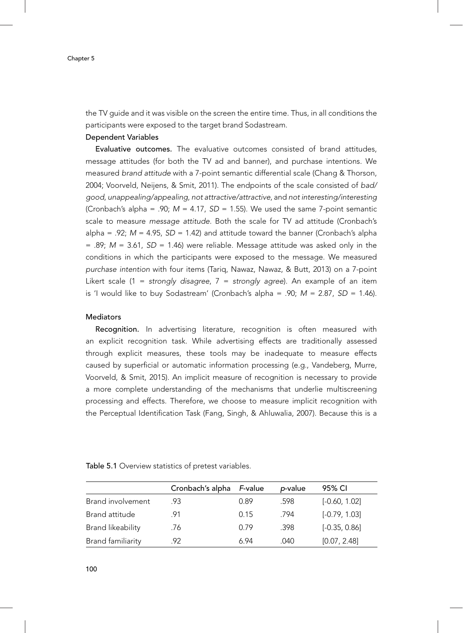the TV guide and it was visible on the screen the entire time. Thus, in all conditions the participants were exposed to the target brand Sodastream.

#### Dependent Variables

Evaluative outcomes. The evaluative outcomes consisted of brand attitudes, message attitudes (for both the TV ad and banner), and purchase intentions. We measured *brand attitude* with a 7-point semantic differential scale (Chang & Thorson, 2004; Voorveld, Neijens, & Smit, 2011). The endpoints of the scale consisted of *bad/ good*, *unappealing/appealing*, *not attractive/attractive*, and *not interesting/interesting*  (Cronbach's alpha =  $.90$ ;  $M = 4.17$ ,  $SD = 1.55$ ). We used the same 7-point semantic scale to measure *message attitude.* Both the scale for TV ad attitude (Cronbach's alpha = .92; *M* = 4.95, *SD* = 1.42) and attitude toward the banner (Cronbach's alpha  $= .89$ ;  $M = 3.61$ ,  $SD = 1.46$ ) were reliable. Message attitude was asked only in the conditions in which the participants were exposed to the message. We measured *purchase intention* with four items (Tariq, Nawaz, Nawaz, & Butt, 2013) on a 7-point Likert scale (1 = *strongly disagree*, 7 = *strongly agree*). An example of an item is 'I would like to buy Sodastream' (Cronbach's alpha = .90; *M* = 2.87, *SD* = 1.46).

#### Mediators

 Recognition. In advertising literature, recognition is often measured with an explicit recognition task. While advertising effects are traditionally assessed through explicit measures, these tools may be inadequate to measure effects caused by superficial or automatic information processing (e.g., Vandeberg, Murre, Voorveld, & Smit, 2015). An implicit measure of recognition is necessary to provide a more complete understanding of the mechanisms that underlie multiscreening processing and effects. Therefore, we choose to measure implicit recognition with the Perceptual Identification Task (Fang, Singh, & Ahluwalia, 2007). Because this is a

| Table 5.1 Overview statistics of pretest variables. |
|-----------------------------------------------------|
|-----------------------------------------------------|

|                          | Cronbach's alpha | F-value | p-value | 95% CI          |
|--------------------------|------------------|---------|---------|-----------------|
| Brand involvement        | .93              | 0.89    | .598    | $[-0.60, 1.02]$ |
| Brand attitude           | .91              | 0.15    | .794    | $[-0.79, 1.03]$ |
| Brand likeability        | .76              | 0.79    | .398    | $[-0.35, 0.86]$ |
| <b>Brand familiarity</b> | 92               | 6.94    | .040    | [0.07, 2.48]    |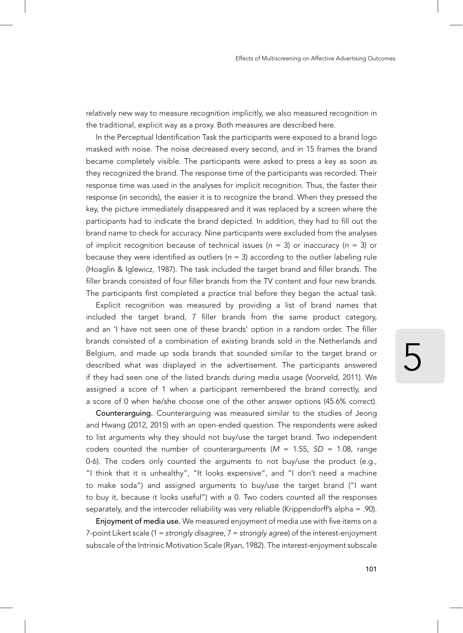relatively new way to measure recognition implicitly, we also measured recognition in the traditional, explicit way as a proxy. Both measures are described here.

In the Perceptual Identification Task the participants were exposed to a brand logo masked with noise. The noise decreased every second, and in 15 frames the brand became completely visible. The participants were asked to press a key as soon as they recognized the brand. The response time of the participants was recorded. Their response time was used in the analyses for implicit recognition. Thus, the faster their response (in seconds), the easier it is to recognize the brand. When they pressed the key, the picture immediately disappeared and it was replaced by a screen where the participants had to indicate the brand depicted. In addition, they had to fill out the brand name to check for accuracy. Nine participants were excluded from the analyses of implicit recognition because of technical issues (*n* = 3) or inaccuracy (*n* = 3) or because they were identified as outliers ( $n = 3$ ) according to the outlier labeling rule (Hoaglin & Iglewicz, 1987). The task included the target brand and filler brands. The filler brands consisted of four filler brands from the TV content and four new brands. The participants first completed a practice trial before they began the actual task.

Explicit recognition was measured by providing a list of brand names that included the target brand, 7 filler brands from the same product category, and an 'I have not seen one of these brands' option in a random order. The filler brands consisted of a combination of existing brands sold in the Netherlands and Belgium, and made up soda brands that sounded similar to the target brand or described what was displayed in the advertisement. The participants answered if they had seen one of the listed brands during media usage (Voorveld, 2011). We assigned a score of 1 when a participant remembered the brand correctly, and a score of 0 when he/she choose one of the other answer options (45.6% correct).

Counterarguing. Counterarguing was measured similar to the studies of Jeong and Hwang (2012, 2015) with an open-ended question. The respondents were asked to list arguments why they should not buy/use the target brand. Two independent coders counted the number of counterarguments  $(M = 1.55, SD = 1.08, range$ 0-6). The coders only counted the arguments to not buy/use the product (e.g., "I think that it is unhealthy", "It looks expensive", and "I don't need a machine to make soda") and assigned arguments to buy/use the target brand ("I want to buy it, because it looks useful") with a 0. Two coders counted all the responses separately, and the intercoder reliability was very reliable (Krippendorff's alpha = .90).

Enjoyment of media use. We measured enjoyment of media use with five items on a 7-point Likert scale (1 = *strongly disagree*, 7 = *strongly agree*) of the interest-enjoyment subscale of the Intrinsic Motivation Scale (Ryan, 1982). The interest-enjoyment subscale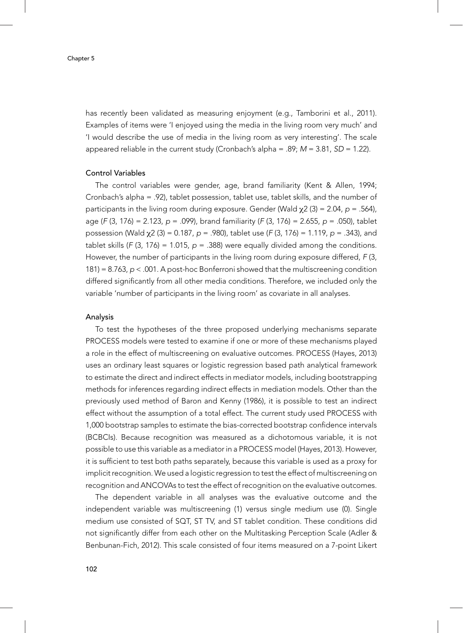has recently been validated as measuring enjoyment (e.g., Tamborini et al., 2011). Examples of items were 'I enjoyed using the media in the living room very much' and 'I would describe the use of media in the living room as very interesting'. The scale appeared reliable in the current study (Cronbach's alpha = .89; *M* = 3.81, *SD* = 1.22).

#### Control Variables

The control variables were gender, age, brand familiarity (Kent & Allen, 1994; Cronbach's alpha = .92), tablet possession, tablet use, tablet skills, and the number of participants in the living room during exposure. Gender (Wald χ2 (3) = 2.04, *p* = .564), age (*F* (3, 176) = 2.123, *p* = .099), brand familiarity (*F* (3, 176) = 2.655, *p* = .050), tablet possession (Wald χ2 (3) = 0.187, *p* = .980), tablet use (*F* (3, 176) = 1.119, *p* = .343), and tablet skills ( $F(3, 176) = 1.015$ ,  $p = .388$ ) were equally divided among the conditions. However, the number of participants in the living room during exposure differed, *F* (3, 181) = 8.763, *p* < .001. A post-hoc Bonferroni showed that the multiscreening condition differed significantly from all other media conditions. Therefore, we included only the variable 'number of participants in the living room' as covariate in all analyses.

#### Analysis

To test the hypotheses of the three proposed underlying mechanisms separate PROCESS models were tested to examine if one or more of these mechanisms played a role in the effect of multiscreening on evaluative outcomes. PROCESS (Hayes, 2013) uses an ordinary least squares or logistic regression based path analytical framework to estimate the direct and indirect effects in mediator models, including bootstrapping methods for inferences regarding indirect effects in mediation models. Other than the previously used method of Baron and Kenny (1986), it is possible to test an indirect effect without the assumption of a total effect. The current study used PROCESS with 1,000 bootstrap samples to estimate the bias-corrected bootstrap confidence intervals (BCBCIs). Because recognition was measured as a dichotomous variable, it is not possible to use this variable as a mediator in a PROCESS model (Hayes, 2013). However, it is sufficient to test both paths separately, because this variable is used as a proxy for implicit recognition. We used a logistic regression to test the effect of multiscreening on recognition and ANCOVAs to test the effect of recognition on the evaluative outcomes.

The dependent variable in all analyses was the evaluative outcome and the independent variable was multiscreening (1) versus single medium use (0). Single medium use consisted of SQT, ST TV, and ST tablet condition. These conditions did not significantly differ from each other on the Multitasking Perception Scale (Adler & Benbunan-Fich, 2012). This scale consisted of four items measured on a 7-point Likert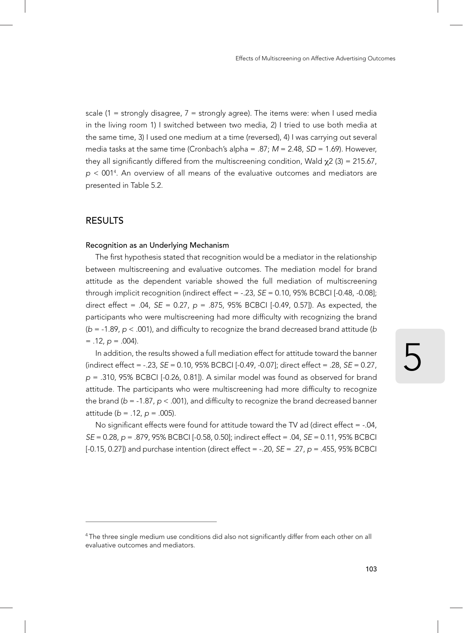scale (1 = strongly disagree,  $7$  = strongly agree). The items were: when I used media in the living room 1) I switched between two media, 2) I tried to use both media at the same time, 3) I used one medium at a time (reversed), 4) I was carrying out several media tasks at the same time (Cronbach's alpha = .87; *M* = 2.48, *SD* = 1.69). However, they all significantly differed from the multiscreening condition, Wald  $\chi$ 2 (3) = 215.67, *p* < 0014 . An overview of all means of the evaluative outcomes and mediators are presented in Table 5.2.

#### Results

#### Recognition as an Underlying Mechanism

The first hypothesis stated that recognition would be a mediator in the relationship between multiscreening and evaluative outcomes. The mediation model for brand attitude as the dependent variable showed the full mediation of multiscreening through implicit recognition (indirect effect  $=$  -.23,  $SE = 0.10$ ,  $95\%$  BCBCI  $[-0.48, -0.08]$ ; direct effect = .04, *SE* = 0.27, *p* = .875, 95% BCBCI [-0.49, 0.57]). As expected, the participants who were multiscreening had more difficulty with recognizing the brand (*b* = -1.89, *p* < .001), and difficulty to recognize the brand decreased brand attitude (*b*  $= .12, p = .004$ ).

In addition, the results showed a full mediation effect for attitude toward the banner (indirect effect = -.23, *SE* = 0.10, 95% BCBCI [-0.49, -0.07]; direct effect = .28, *SE* = 0.27, *p* = .310, 95% BCBCI [-0.26, 0.81]). A similar model was found as observed for brand attitude. The participants who were multiscreening had more difficulty to recognize the brand (*b* = -1.87, *p* < .001), and difficulty to recognize the brand decreased banner attitude (*b* = .12, *p* = .005).

No significant effects were found for attitude toward the TV ad (direct effect  $= -0.04$ , *SE* = 0.28, *p* = .879, 95% BCBCI [-0.58, 0.50]; indirect effect = .04, *SE* = 0.11, 95% BCBCI [-0.15, 0.27]) and purchase intention (direct effect = -.20, *SE* = .27, *p* = .455, 95% BCBCI

<sup>4</sup> The three single medium use conditions did also not significantly differ from each other on all evaluative outcomes and mediators.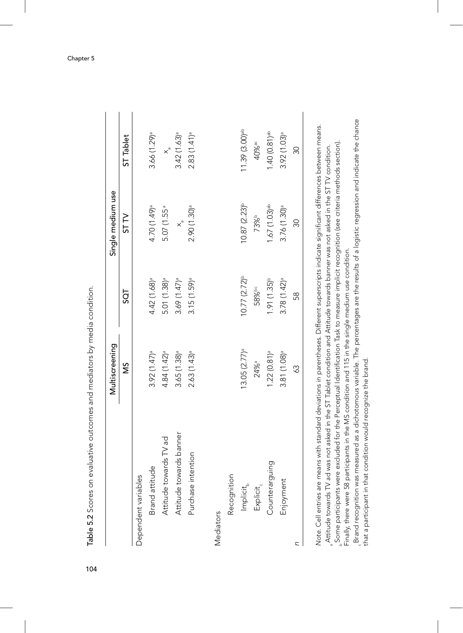|                         | Multiscreening              |                           | Single medium use          |                             |
|-------------------------|-----------------------------|---------------------------|----------------------------|-----------------------------|
|                         | ŠΝ                          | 5QT                       | ST <sub>N</sub>            | ST Tablet                   |
| Dependent variables     |                             |                           |                            |                             |
| Brand attitude          | $3.92(1.47)$ <sup>a</sup>   | $4.42(1.68)$ <sup>a</sup> | 4.70 (1.49) <sup>a</sup>   | $3.66(1.29)$ <sup>a</sup>   |
| Attitude towards TV ad  | $4.84(1.42)$ <sup>a</sup>   | $5.01(1.38)$ <sup>a</sup> | 5.07 (1.55 <sup>a</sup>    | $x^{\circ}$                 |
| Attitude towards banner | $3.65 (1.38)$ <sup>a</sup>  | $3.69(1.47)$ <sup>a</sup> | $\times$ <sup>n</sup>      | $3.42(1.63)$ <sup>a</sup>   |
| Purchase intention      | $2.63(1.43)$ <sup>a</sup>   | $3.15(1.59)$ <sup>a</sup> | $2.90(1.30)$ <sup>a</sup>  | 2.83(1.41) <sup>a</sup>     |
|                         |                             |                           |                            |                             |
| Mediators               |                             |                           |                            |                             |
| Recognition             |                             |                           |                            |                             |
| $Implicit_{b}$          | $13.05 (2.77)$ <sup>a</sup> | $10.77(2.72)^{b}$         | $10.87(2.23)$ b            | $11.39(3.00)$ <sup>ab</sup> |
| $Explicit_{c}$          | 24% <sup>a</sup>            | 58%bc                     | 73%b                       | 40% <sup>ас</sup>           |
| Counterarguing          | $1.22 (0.81)$ <sup>a</sup>  | $1.91(1.35)^{b}$          | $1.67(1.03)$ <sup>ab</sup> | $1.40(0.81)$ <sup>ab</sup>  |
| Enjoyment               | $3.81(1.08)$ <sup>a</sup>   | $3.78(1.42)$ <sup>a</sup> | $3.76(1.30)$ <sup>a</sup>  | $3.92(1.03)$ <sup>a</sup>   |
| C                       | 39                          | 58                        | 30                         | Z                           |

Table 5.2 Scores on evaluative outcomes and mediators by media condition. 104Table 5.2 Scores on evaluative outcomes and mediators by media condition. Note. Cell entries are means with standard deviations in parentheses. Different superscripts indicate significant differences between means. *Note.* Cell entries are means with standard deviations in parentheses. Different superscripts indicate signifi cant differences between means. Some participants were excluded for the Perceptual Identifi cation Task to measure implicit recognition (see criteria methods section). Attitude towards TV ad was not asked in the ST Tablet condition and Attitude towards banner was not asked in the ST TV condition. Finally, there were 58 participants in the MS condition and 115 in the single medium use condition. a b

. Brand recognition was measured as a dichotomous variable. The percentages are the results of a logistic regression and indicate the chance<br>.hat a participant in that condition would recognize the brand. Brand recognition was measured as a dichotomous variable. The percentages are the results of a logistic regression and indicate the chance that a participant in that condition would recognize the brand.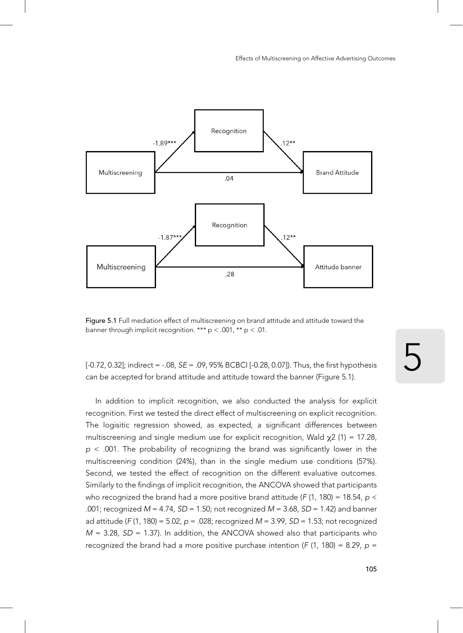

Figure 5.1 Full mediation effect of multiscreening on brand attitude and attitude toward the banner through implicit recognition. \*\*\* p < .001, \*\* p < .01.

[-0.72, 0.32]; indirect = -.08, can be accepted for brand attitude and attitude toward the banner (Figure 5.1).  $SE = .09$ , 95% BCBCI [-0.28, 0.07]). Thus, the first hypothesis  $\sum$ 

In addition to implicit recognition, we also conducted the analysis for explicit recognition. First we tested the direct effect of multiscreening on explicit recognition. The logisitic regression showed, as expected, a significant differences between multiscreening and single medium use for explicit recognition, Wald  $\chi$ 2 (1) = 17.28, *p* < .001. The probability of recognizing the brand was significantly lower in the multiscreening condition (24%), than in the single medium use conditions (57%). Second, we tested the effect of recognition on the different evaluative outcomes. Similarly to the findings of implicit recognition, the ANCOVA showed that participants who recognized the brand had a more positive brand attitude (*F* (1, 180) = 18.54, *p* < .001; recognized *M* = 4.74, *SD* = 1.50; not recognized *M* = 3.68, *SD* = 1.42) and banner ad attitude (*F* (1, 180) = 5.02, *p* = .028; recognized *M* = 3.99, *SD* = 1.53; not recognized *M* = 3.28, *SD* = 1.37). In addition, the ANCOVA showed also that participants who recognized the brand had a more positive purchase intention ( $F(1, 180) = 8.29$ ,  $p =$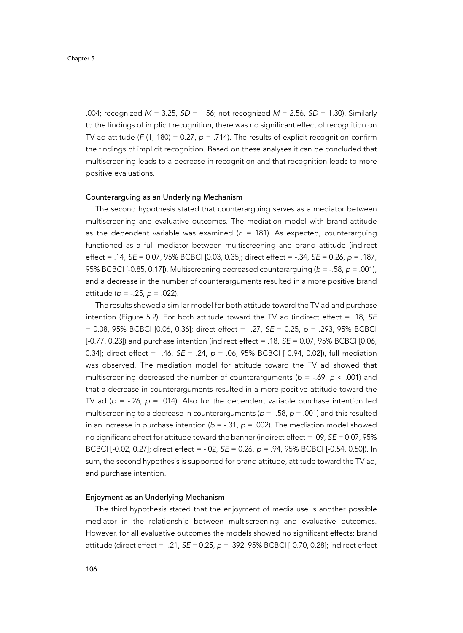.004; recognized *M* = 3.25, *SD* = 1.56; not recognized *M* = 2.56, *SD* = 1.30). Similarly to the findings of implicit recognition, there was no significant effect of recognition on TV ad attitude ( $F(1, 180) = 0.27$ ,  $p = .714$ ). The results of explicit recognition confirm the findings of implicit recognition. Based on these analyses it can be concluded that multiscreening leads to a decrease in recognition and that recognition leads to more positive evaluations.

#### Counterarguing as an Underlying Mechanism

The second hypothesis stated that counterarguing serves as a mediator between multiscreening and evaluative outcomes. The mediation model with brand attitude as the dependent variable was examined ( $n = 181$ ). As expected, counterarguing functioned as a full mediator between multiscreening and brand attitude (indirect effect = .14, *SE* = 0.07, 95% BCBCI [0.03, 0.35]; direct effect = -.34, *SE* = 0.26, *p* = .187, 95% BCBCI [-0.85, 0.17]). Multiscreening decreased counterarguing (*b* = -.58, *p* = .001), and a decrease in the number of counterarguments resulted in a more positive brand attitude (*b* = -.25, *p* = .022).

The results showed a similar model for both attitude toward the TV ad and purchase intention (Figure 5.2). For both attitude toward the TV ad (indirect effect = .18, *SE* = 0.08, 95% BCBCI [0.06, 0.36]; direct effect = -.27, *SE* = 0.25, *p* = .293, 95% BCBCI [-0.77, 0.23]) and purchase intention (indirect effect = .18, *SE* = 0.07, 95% BCBCI [0.06, 0.34]; direct effect = -.46, *SE* = .24, *p* = .06, 95% BCBCI [-0.94, 0.02]), full mediation was observed. The mediation model for attitude toward the TV ad showed that multiscreening decreased the number of counterarguments ( $b = -.69$ ,  $p < .001$ ) and that a decrease in counterarguments resulted in a more positive attitude toward the TV ad ( $b = -.26$ ,  $p = .014$ ). Also for the dependent variable purchase intention led multiscreening to a decrease in counterarguments (*b* = -.58, *p* = .001) and this resulted in an increase in purchase intention  $(b = -.31, p = .002)$ . The mediation model showed no significant effect for attitude toward the banner (indirect effect = .09, *SE* = 0.07, 95% BCBCI [-0.02, 0.27]; direct effect = -.02, *SE* = 0.26, *p* = .94, 95% BCBCI [-0.54, 0.50]). In sum, the second hypothesis is supported for brand attitude, attitude toward the TV ad, and purchase intention.

#### Enjoyment as an Underlying Mechanism

The third hypothesis stated that the enjoyment of media use is another possible mediator in the relationship between multiscreening and evaluative outcomes. However, for all evaluative outcomes the models showed no significant effects: brand attitude (direct effect = -.21, *SE* = 0.25, *p* = .392, 95% BCBCI [-0.70, 0.28]; indirect effect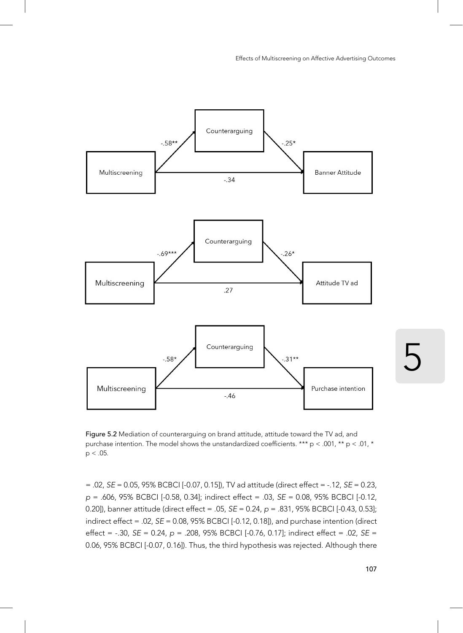

Figure 5.2 Mediation of counterarguing on brand attitude, attitude toward the TV ad, and purchase intention. The model shows the unstandardized coefficients. \*\*\* p < .001, \*\* p < .01, \*  $p < .05$ .

= .02, *SE* = 0.05, 95% BCBCI [-0.07, 0.15]), TV ad attitude (direct effect = -.12, *SE* = 0.23, *p* = .606, 95% BCBCI [-0.58, 0.34]; indirect effect = .03, *SE* = 0.08, 95% BCBCI [-0.12, 0.20]), banner attitude (direct effect = .05, *SE* = 0.24, *p* = .831, 95% BCBCI [-0.43, 0.53]; indirect effect = .02, *SE* = 0.08, 95% BCBCI [-0.12, 0.18]), and purchase intention (direct effect = -.30, *SE* = 0.24, *p* = .208, 95% BCBCI [-0.76, 0.17]; indirect effect = .02, *SE* = 0.06, 95% BCBCI [-0.07, 0.16]). Thus, the third hypothesis was rejected. Although there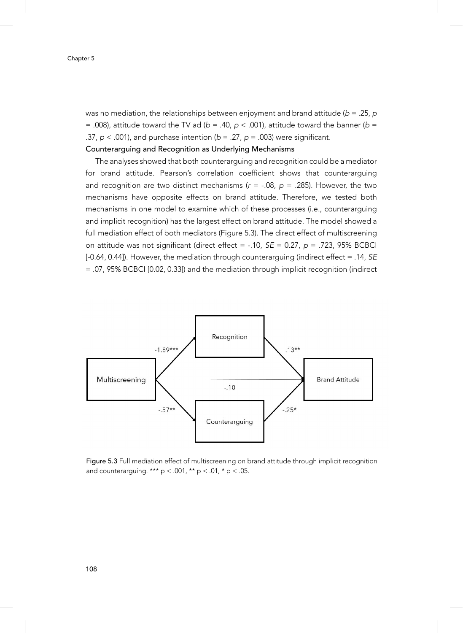was no mediation, the relationships between enjoyment and brand attitude (*b* = .25, *p* = .008), attitude toward the TV ad ( $b = .40$ ,  $p < .001$ ), attitude toward the banner ( $b =$ .37, *p* < .001), and purchase intention (*b* = .27, *p* = .003) were significant.

#### Counterarguing and Recognition as Underlying Mechanisms

The analyses showed that both counterarguing and recognition could be a mediator for brand attitude. Pearson's correlation coefficient shows that counterarguing and recognition are two distinct mechanisms  $(r = -.08, p = .285)$ . However, the two mechanisms have opposite effects on brand attitude. Therefore, we tested both mechanisms in one model to examine which of these processes (i.e., counterarguing and implicit recognition) has the largest effect on brand attitude. The model showed a full mediation effect of both mediators (Figure 5.3). The direct effect of multiscreening on attitude was not significant (direct effect = -.10, *SE* = 0.27, *p* = .723, 95% BCBCI [-0.64, 0.44]). However, the mediation through counterarguing (indirect effect = .14, *SE* = .07, 95% BCBCI [0.02, 0.33]) and the mediation through implicit recognition (indirect



Figure 5.3 Full mediation effect of multiscreening on brand attitude through implicit recognition and counterarguing. \*\*\*  $p < .001$ , \*\*  $p < .01$ , \*  $p < .05$ .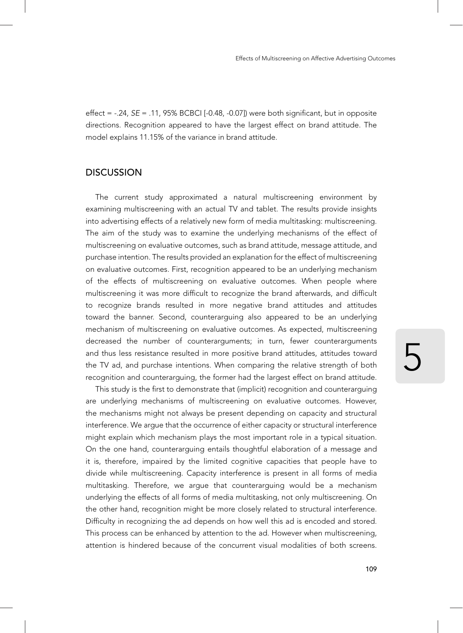effect = -.24, *SE* = .11, 95% BCBCI [-0.48, -0.07]) were both significant, but in opposite directions. Recognition appeared to have the largest effect on brand attitude. The model explains 11.15% of the variance in brand attitude.

## **DISCUSSION**

The current study approximated a natural multiscreening environment by examining multiscreening with an actual TV and tablet. The results provide insights into advertising effects of a relatively new form of media multitasking: multiscreening. The aim of the study was to examine the underlying mechanisms of the effect of multiscreening on evaluative outcomes, such as brand attitude, message attitude, and purchase intention. The results provided an explanation for the effect of multiscreening on evaluative outcomes. First, recognition appeared to be an underlying mechanism of the effects of multiscreening on evaluative outcomes. When people where multiscreening it was more difficult to recognize the brand afterwards, and difficult to recognize brands resulted in more negative brand attitudes and attitudes toward the banner. Second, counterarguing also appeared to be an underlying mechanism of multiscreening on evaluative outcomes. As expected, multiscreening decreased the number of counterarguments; in turn, fewer counterarguments and thus less resistance resulted in more positive brand attitudes, attitudes toward the TV ad, and purchase intentions. When comparing the relative strength of both recognition and counterarguing, the former had the largest effect on brand attitude.

This study is the first to demonstrate that (implicit) recognition and counterarguing are underlying mechanisms of multiscreening on evaluative outcomes. However, the mechanisms might not always be present depending on capacity and structural interference. We argue that the occurrence of either capacity or structural interference might explain which mechanism plays the most important role in a typical situation. On the one hand, counterarguing entails thoughtful elaboration of a message and it is, therefore, impaired by the limited cognitive capacities that people have to divide while multiscreening. Capacity interference is present in all forms of media multitasking. Therefore, we argue that counterarguing would be a mechanism underlying the effects of all forms of media multitasking, not only multiscreening. On the other hand, recognition might be more closely related to structural interference. Difficulty in recognizing the ad depends on how well this ad is encoded and stored. This process can be enhanced by attention to the ad. However when multiscreening, attention is hindered because of the concurrent visual modalities of both screens.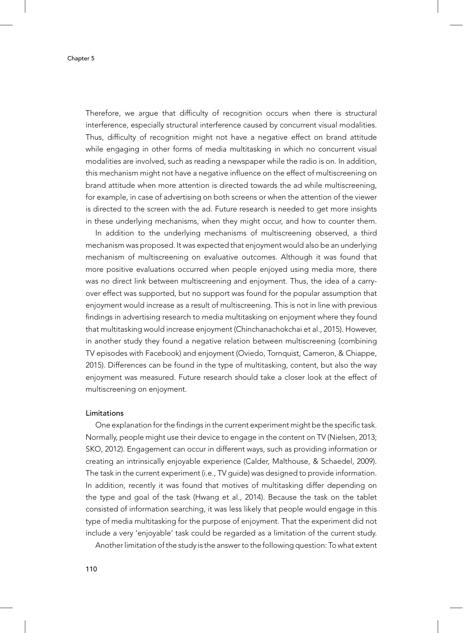Therefore, we argue that difficulty of recognition occurs when there is structural interference, especially structural interference caused by concurrent visual modalities. Thus, difficulty of recognition might not have a negative effect on brand attitude while engaging in other forms of media multitasking in which no concurrent visual modalities are involved, such as reading a newspaper while the radio is on. In addition, this mechanism might not have a negative influence on the effect of multiscreening on brand attitude when more attention is directed towards the ad while multiscreening, for example, in case of advertising on both screens or when the attention of the viewer is directed to the screen with the ad. Future research is needed to get more insights in these underlying mechanisms, when they might occur, and how to counter them.

In addition to the underlying mechanisms of multiscreening observed, a third mechanism was proposed. It was expected that enjoyment would also be an underlying mechanism of multiscreening on evaluative outcomes. Although it was found that more positive evaluations occurred when people enjoyed using media more, there was no direct link between multiscreening and enjoyment. Thus, the idea of a carryover effect was supported, but no support was found for the popular assumption that enjoyment would increase as a result of multiscreening. This is not in line with previous findings in advertising research to media multitasking on enjoyment where they found that multitasking would increase enjoyment (Chinchanachokchai et al., 2015). However, in another study they found a negative relation between multiscreening (combining TV episodes with Facebook) and enjoyment (Oviedo, Tornquist, Cameron, & Chiappe, 2015). Differences can be found in the type of multitasking, content, but also the way enjoyment was measured. Future research should take a closer look at the effect of multiscreening on enjoyment.

#### Limitations

One explanation for the findings in the current experiment might be the specific task. Normally, people might use their device to engage in the content on TV (Nielsen, 2013; SKO, 2012). Engagement can occur in different ways, such as providing information or creating an intrinsically enjoyable experience (Calder, Malthouse, & Schaedel, 2009). The task in the current experiment (i.e., TV guide) was designed to provide information. In addition, recently it was found that motives of multitasking differ depending on the type and goal of the task (Hwang et al., 2014). Because the task on the tablet consisted of information searching, it was less likely that people would engage in this type of media multitasking for the purpose of enjoyment. That the experiment did not include a very 'enjoyable' task could be regarded as a limitation of the current study.

Another limitation of the study is the answer to the following question: To what extent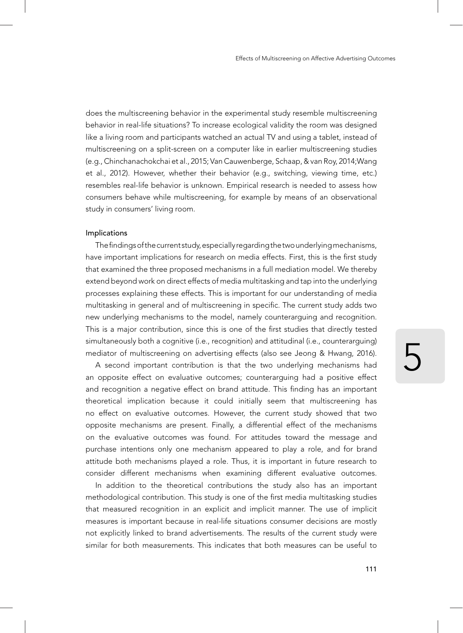does the multiscreening behavior in the experimental study resemble multiscreening behavior in real-life situations? To increase ecological validity the room was designed like a living room and participants watched an actual TV and using a tablet, instead of multiscreening on a split-screen on a computer like in earlier multiscreening studies (e.g., Chinchanachokchai et al., 2015; Van Cauwenberge, Schaap, & van Roy, 2014;Wang et al., 2012). However, whether their behavior (e.g., switching, viewing time, etc.) resembles real-life behavior is unknown. Empirical research is needed to assess how consumers behave while multiscreening, for example by means of an observational study in consumers' living room.

#### Implications

The findings of the current study, especially regarding the two underlying mechanisms, have important implications for research on media effects. First, this is the first study that examined the three proposed mechanisms in a full mediation model. We thereby extend beyond work on direct effects of media multitasking and tap into the underlying processes explaining these effects. This is important for our understanding of media multitasking in general and of multiscreening in specific. The current study adds two new underlying mechanisms to the model, namely counterarguing and recognition. This is a major contribution, since this is one of the first studies that directly tested simultaneously both a cognitive (i.e., recognition) and attitudinal (i.e., counterarguing) mediator of multiscreening on advertising effects (also see Jeong & Hwang, 2016).

A second important contribution is that the two underlying mechanisms had an opposite effect on evaluative outcomes; counterarguing had a positive effect and recognition a negative effect on brand attitude. This finding has an important theoretical implication because it could initially seem that multiscreening has no effect on evaluative outcomes. However, the current study showed that two opposite mechanisms are present. Finally, a differential effect of the mechanisms on the evaluative outcomes was found. For attitudes toward the message and purchase intentions only one mechanism appeared to play a role, and for brand attitude both mechanisms played a role. Thus, it is important in future research to consider different mechanisms when examining different evaluative outcomes.

In addition to the theoretical contributions the study also has an important methodological contribution. This study is one of the first media multitasking studies that measured recognition in an explicit and implicit manner. The use of implicit measures is important because in real-life situations consumer decisions are mostly not explicitly linked to brand advertisements. The results of the current study were similar for both measurements. This indicates that both measures can be useful to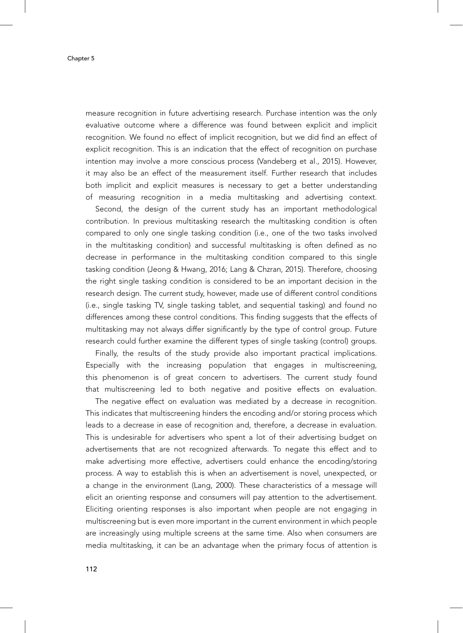Chapter 5

measure recognition in future advertising research. Purchase intention was the only evaluative outcome where a difference was found between explicit and implicit recognition. We found no effect of implicit recognition, but we did find an effect of explicit recognition. This is an indication that the effect of recognition on purchase intention may involve a more conscious process (Vandeberg et al., 2015). However, it may also be an effect of the measurement itself. Further research that includes both implicit and explicit measures is necessary to get a better understanding of measuring recognition in a media multitasking and advertising context.

Second, the design of the current study has an important methodological contribution. In previous multitasking research the multitasking condition is often compared to only one single tasking condition (i.e., one of the two tasks involved in the multitasking condition) and successful multitasking is often defined as no decrease in performance in the multitasking condition compared to this single tasking condition (Jeong & Hwang, 2016; Lang & Chzran, 2015). Therefore, choosing the right single tasking condition is considered to be an important decision in the research design. The current study, however, made use of different control conditions (i.e., single tasking TV, single tasking tablet, and sequential tasking) and found no differences among these control conditions. This finding suggests that the effects of multitasking may not always differ significantly by the type of control group. Future research could further examine the different types of single tasking (control) groups.

Finally, the results of the study provide also important practical implications. Especially with the increasing population that engages in multiscreening, this phenomenon is of great concern to advertisers. The current study found that multiscreening led to both negative and positive effects on evaluation.

The negative effect on evaluation was mediated by a decrease in recognition. This indicates that multiscreening hinders the encoding and/or storing process which leads to a decrease in ease of recognition and, therefore, a decrease in evaluation. This is undesirable for advertisers who spent a lot of their advertising budget on advertisements that are not recognized afterwards. To negate this effect and to make advertising more effective, advertisers could enhance the encoding/storing process. A way to establish this is when an advertisement is novel, unexpected, or a change in the environment (Lang, 2000). These characteristics of a message will elicit an orienting response and consumers will pay attention to the advertisement. Eliciting orienting responses is also important when people are not engaging in multiscreening but is even more important in the current environment in which people are increasingly using multiple screens at the same time. Also when consumers are media multitasking, it can be an advantage when the primary focus of attention is